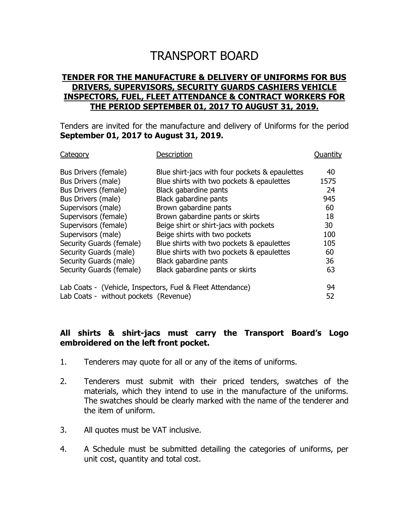## TRANSPORT BOARD

## **TENDER FOR THE MANUFACTURE & DELIVERY OF UNIFORMS FOR BUS DRIVERS, SUPERVISORS, SECURITY GUARDS CASHIERS VEHICLE INSPECTORS, FUEL, FLEET ATTENDANCE & CONTRACT WORKERS FOR THE PERIOD SEPTEMBER 01, 2017 TO AUGUST 31, 2019.**

Tenders are invited for the manufacture and delivery of Uniforms for the period **September 01, 2017 to August 31, 2019.**

| Category                                                   | Description                                    | Ouantity |
|------------------------------------------------------------|------------------------------------------------|----------|
| Bus Drivers (female)                                       | Blue shirt-jacs with four pockets & epaulettes | 40       |
| Bus Drivers (male)                                         | Blue shirts with two pockets & epaulettes      | 1575     |
| Bus Drivers (female)                                       | Black gabardine pants                          | 24       |
| Bus Drivers (male)                                         | Black gabardine pants                          | 945      |
| Supervisors (male)                                         | Brown gabardine pants                          | 60       |
| Supervisors (female)                                       | Brown gabardine pants or skirts                | 18       |
| Supervisors (female)                                       | Beige shirt or shirt-jacs with pockets         | 30       |
| Supervisors (male)                                         | Beige shirts with two pockets                  | 100      |
| Security Guards (female)                                   | Blue shirts with two pockets & epaulettes      | 105      |
| Security Guards (male)                                     | Blue shirts with two pockets & epaulettes      | 60       |
| Security Guards (male)                                     | Black gabardine pants                          | 36       |
| Security Guards (female)                                   | Black gabardine pants or skirts                | 63       |
| Lab Coats - (Vehicle, Inspectors, Fuel & Fleet Attendance) |                                                | 94       |
| Lab Coats - without pockets (Revenue)                      |                                                | 52       |

## **All shirts & shirt-jacs must carry the Transport Board's Logo embroidered on the left front pocket.**

- 1. Tenderers may quote for all or any of the items of uniforms.
- 2. Tenderers must submit with their priced tenders, swatches of the materials, which they intend to use in the manufacture of the uniforms. The swatches should be clearly marked with the name of the tenderer and the item of uniform.
- 3. All quotes must be VAT inclusive.
- 4. A Schedule must be submitted detailing the categories of uniforms, per unit cost, quantity and total cost.